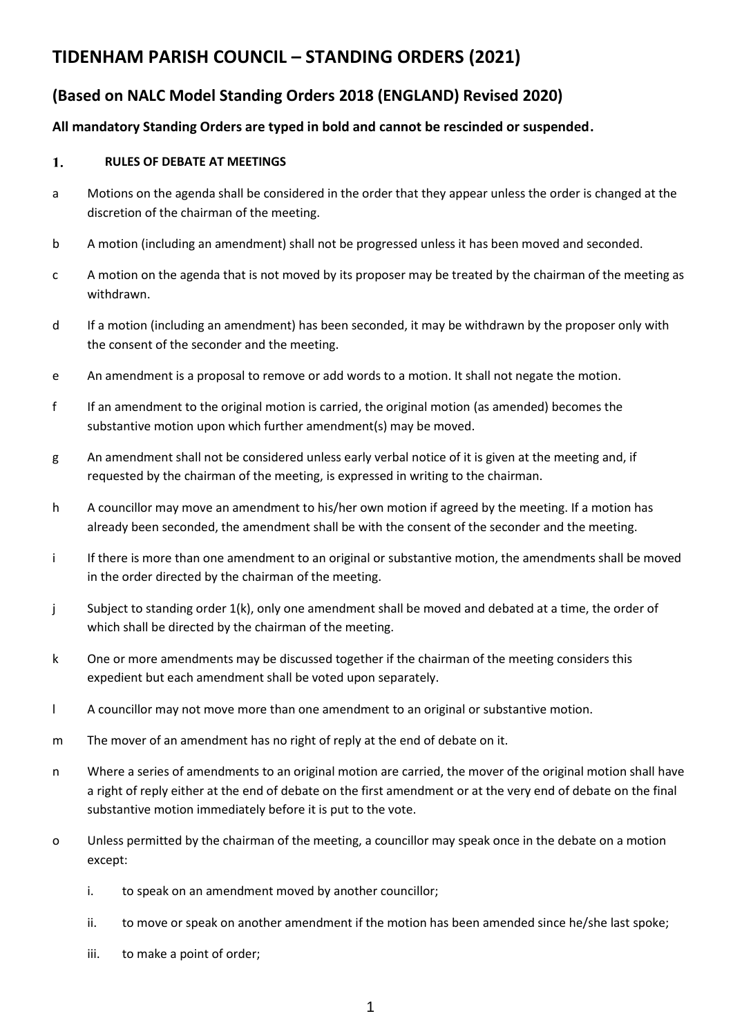# **TIDENHAM PARISH COUNCIL – STANDING ORDERS (2021)**

# **(Based on NALC Model Standing Orders 2018 (ENGLAND) Revised 2020)**

## **All mandatory Standing Orders are typed in bold and cannot be rescinded or suspended.**

#### 1. **RULES OF DEBATE AT MEETINGS**

- a Motions on the agenda shall be considered in the order that they appear unless the order is changed at the discretion of the chairman of the meeting.
- b A motion (including an amendment) shall not be progressed unless it has been moved and seconded.
- c A motion on the agenda that is not moved by its proposer may be treated by the chairman of the meeting as withdrawn.
- d If a motion (including an amendment) has been seconded, it may be withdrawn by the proposer only with the consent of the seconder and the meeting.
- e An amendment is a proposal to remove or add words to a motion. It shall not negate the motion.
- f If an amendment to the original motion is carried, the original motion (as amended) becomes the substantive motion upon which further amendment(s) may be moved.
- g An amendment shall not be considered unless early verbal notice of it is given at the meeting and, if requested by the chairman of the meeting, is expressed in writing to the chairman.
- h A councillor may move an amendment to his/her own motion if agreed by the meeting. If a motion has already been seconded, the amendment shall be with the consent of the seconder and the meeting.
- i If there is more than one amendment to an original or substantive motion, the amendments shall be moved in the order directed by the chairman of the meeting.
- j Subject to standing order 1(k), only one amendment shall be moved and debated at a time, the order of which shall be directed by the chairman of the meeting.
- k One or more amendments may be discussed together if the chairman of the meeting considers this expedient but each amendment shall be voted upon separately.
- l A councillor may not move more than one amendment to an original or substantive motion.
- m The mover of an amendment has no right of reply at the end of debate on it.
- n Where a series of amendments to an original motion are carried, the mover of the original motion shall have a right of reply either at the end of debate on the first amendment or at the very end of debate on the final substantive motion immediately before it is put to the vote.
- o Unless permitted by the chairman of the meeting, a councillor may speak once in the debate on a motion except:
	- i. to speak on an amendment moved by another councillor;
	- ii. to move or speak on another amendment if the motion has been amended since he/she last spoke;
	- iii. to make a point of order;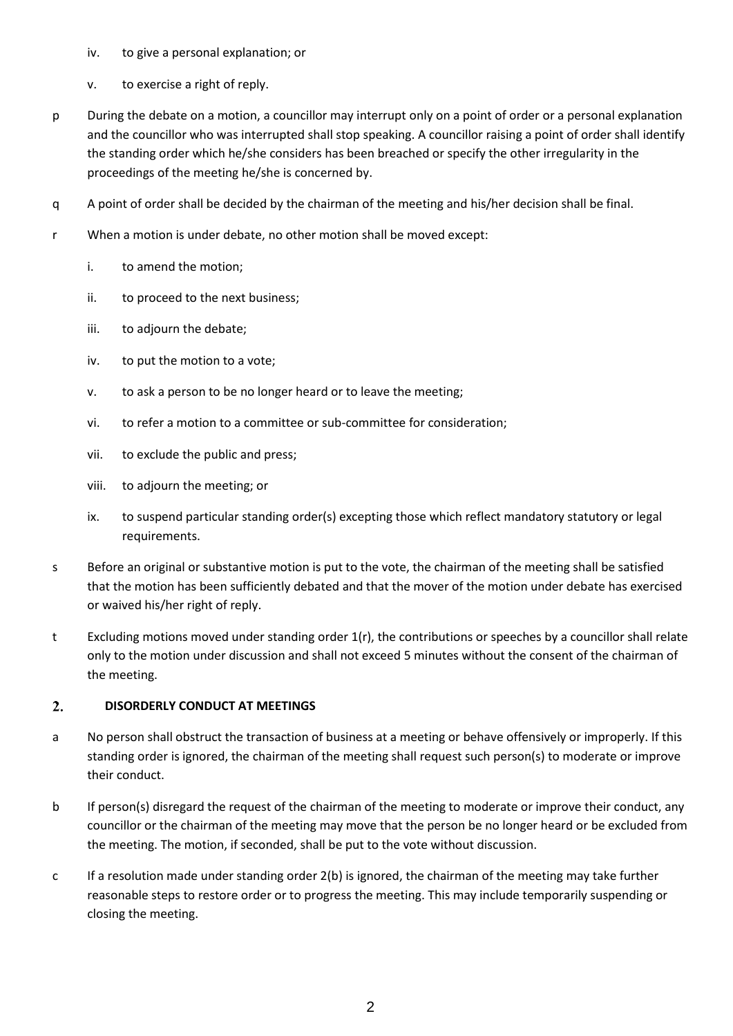- iv. to give a personal explanation; or
- v. to exercise a right of reply.
- p During the debate on a motion, a councillor may interrupt only on a point of order or a personal explanation and the councillor who was interrupted shall stop speaking. A councillor raising a point of order shall identify the standing order which he/she considers has been breached or specify the other irregularity in the proceedings of the meeting he/she is concerned by.
- q A point of order shall be decided by the chairman of the meeting and his/her decision shall be final.
- r When a motion is under debate, no other motion shall be moved except:
	- i. to amend the motion;
	- ii. to proceed to the next business;
	- iii. to adjourn the debate;
	- iv. to put the motion to a vote;
	- v. to ask a person to be no longer heard or to leave the meeting;
	- vi. to refer a motion to a committee or sub-committee for consideration;
	- vii. to exclude the public and press;
	- viii. to adjourn the meeting; or
	- ix. to suspend particular standing order(s) excepting those which reflect mandatory statutory or legal requirements.
- s Before an original or substantive motion is put to the vote, the chairman of the meeting shall be satisfied that the motion has been sufficiently debated and that the mover of the motion under debate has exercised or waived his/her right of reply.
- t Excluding motions moved under standing order 1(r), the contributions or speeches by a councillor shall relate only to the motion under discussion and shall not exceed 5 minutes without the consent of the chairman of the meeting.

#### $2.$ **DISORDERLY CONDUCT AT MEETINGS**

- a No person shall obstruct the transaction of business at a meeting or behave offensively or improperly. If this standing order is ignored, the chairman of the meeting shall request such person(s) to moderate or improve their conduct.
- b If person(s) disregard the request of the chairman of the meeting to moderate or improve their conduct, any councillor or the chairman of the meeting may move that the person be no longer heard or be excluded from the meeting. The motion, if seconded, shall be put to the vote without discussion.
- c If a resolution made under standing order 2(b) is ignored, the chairman of the meeting may take further reasonable steps to restore order or to progress the meeting. This may include temporarily suspending or closing the meeting.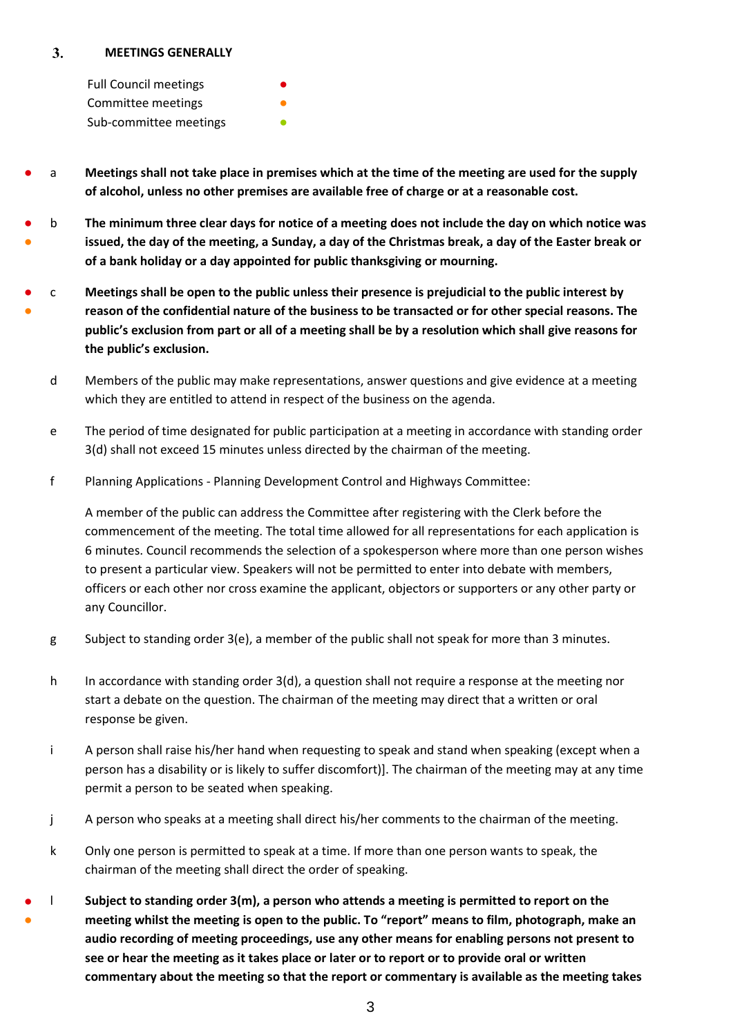#### $3.$ **MEETINGS GENERALLY**

Full Council meetings Committee meetings Sub-committee meetings

- a **Meetings shall not take place in premises which at the time of the meeting are used for the supply of alcohol, unless no other premises are available free of charge or at a reasonable cost.**
- ● b **The minimum three clear days for notice of a meeting does not include the day on which notice was issued, the day of the meeting, a Sunday, a day of the Christmas break, a day of the Easter break or of a bank holiday or a day appointed for public thanksgiving or mourning.**
- ● c **Meetings shall be open to the public unless their presence is prejudicial to the public interest by reason of the confidential nature of the business to be transacted or for other special reasons. The public's exclusion from part or all of a meeting shall be by a resolution which shall give reasons for the public's exclusion.**
	- d Members of the public may make representations, answer questions and give evidence at a meeting which they are entitled to attend in respect of the business on the agenda.
	- e The period of time designated for public participation at a meeting in accordance with standing order 3(d) shall not exceed 15 minutes unless directed by the chairman of the meeting.
	- f Planning Applications Planning Development Control and Highways Committee:

A member of the public can address the Committee after registering with the Clerk before the commencement of the meeting. The total time allowed for all representations for each application is 6 minutes. Council recommends the selection of a spokesperson where more than one person wishes to present a particular view. Speakers will not be permitted to enter into debate with members, officers or each other nor cross examine the applicant, objectors or supporters or any other party or any Councillor.

- g Subject to standing order 3(e), a member of the public shall not speak for more than 3 minutes.
- h In accordance with standing order  $3(d)$ , a question shall not require a response at the meeting nor start a debate on the question. The chairman of the meeting may direct that a written or oral response be given.
- i A person shall raise his/her hand when requesting to speak and stand when speaking (except when a person has a disability or is likely to suffer discomfort)]. The chairman of the meeting may at any time permit a person to be seated when speaking.
- j A person who speaks at a meeting shall direct his/her comments to the chairman of the meeting.
- k Only one person is permitted to speak at a time. If more than one person wants to speak, the chairman of the meeting shall direct the order of speaking.
- ● l **Subject to standing order 3(m), a person who attends a meeting is permitted to report on the meeting whilst the meeting is open to the public. To "report" means to film, photograph, make an audio recording of meeting proceedings, use any other means for enabling persons not present to see or hear the meeting as it takes place or later or to report or to provide oral or written commentary about the meeting so that the report or commentary is available as the meeting takes**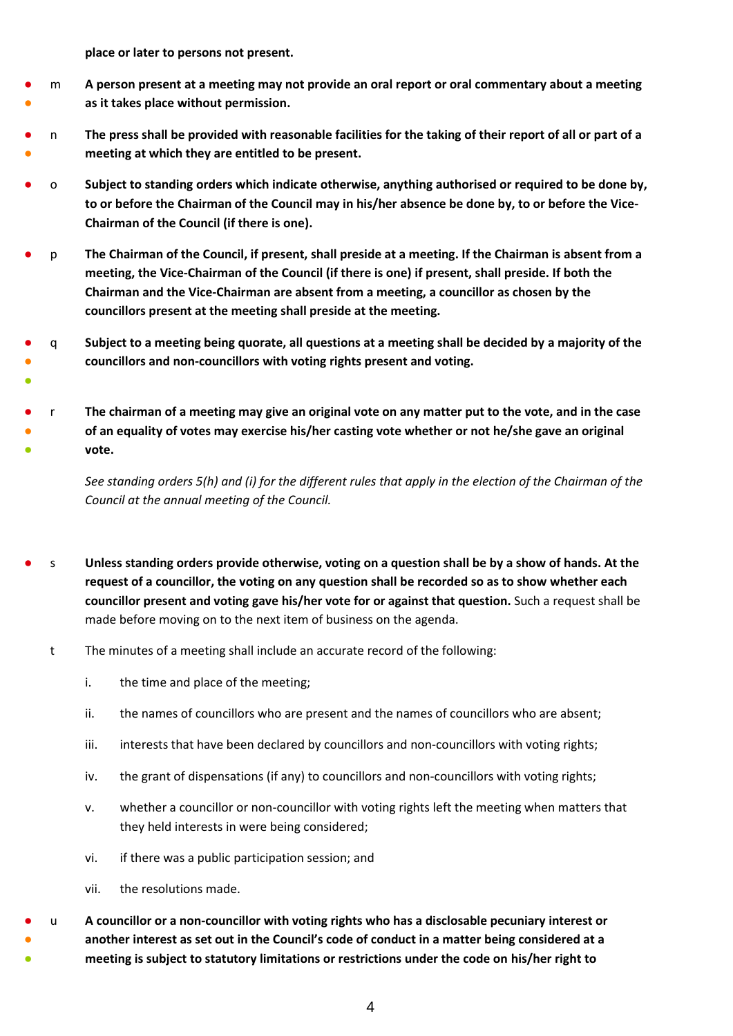**place or later to persons not present.**

●

- ● m **A person present at a meeting may not provide an oral report or oral commentary about a meeting as it takes place without permission.**
- ● n **The press shall be provided with reasonable facilities for the taking of their report of all or part of a meeting at which they are entitled to be present.**
- o **Subject to standing orders which indicate otherwise, anything authorised or required to be done by, to or before the Chairman of the Council may in his/her absence be done by, to or before the Vice-Chairman of the Council (if there is one).**
- p **The Chairman of the Council, if present, shall preside at a meeting. If the Chairman is absent from a meeting, the Vice-Chairman of the Council (if there is one) if present, shall preside. If both the Chairman and the Vice-Chairman are absent from a meeting, a councillor as chosen by the councillors present at the meeting shall preside at the meeting.**
- ● q **Subject to a meeting being quorate, all questions at a meeting shall be decided by a majority of the councillors and non-councillors with voting rights present and voting.**
- ● ● r **The chairman of a meeting may give an original vote on any matter put to the vote, and in the case of an equality of votes may exercise his/her casting vote whether or not he/she gave an original vote.**

*See standing orders 5(h) and (i) for the different rules that apply in the election of the Chairman of the Council at the annual meeting of the Council.*

- s **Unless standing orders provide otherwise, voting on a question shall be by a show of hands. At the request of a councillor, the voting on any question shall be recorded so as to show whether each councillor present and voting gave his/her vote for or against that question.** Such a request shall be made before moving on to the next item of business on the agenda.
	- t The minutes of a meeting shall include an accurate record of the following:
		- i. the time and place of the meeting;
		- ii. the names of councillors who are present and the names of councillors who are absent;
		- iii. interests that have been declared by councillors and non-councillors with voting rights;
		- iv. the grant of dispensations (if any) to councillors and non-councillors with voting rights;
		- v. whether a councillor or non-councillor with voting rights left the meeting when matters that they held interests in were being considered;
		- vi. if there was a public participation session; and
		- vii. the resolutions made.
- ● ● u **A councillor or a non-councillor with voting rights who has a disclosable pecuniary interest or another interest as set out in the Council's code of conduct in a matter being considered at a meeting is subject to statutory limitations or restrictions under the code on his/her right to**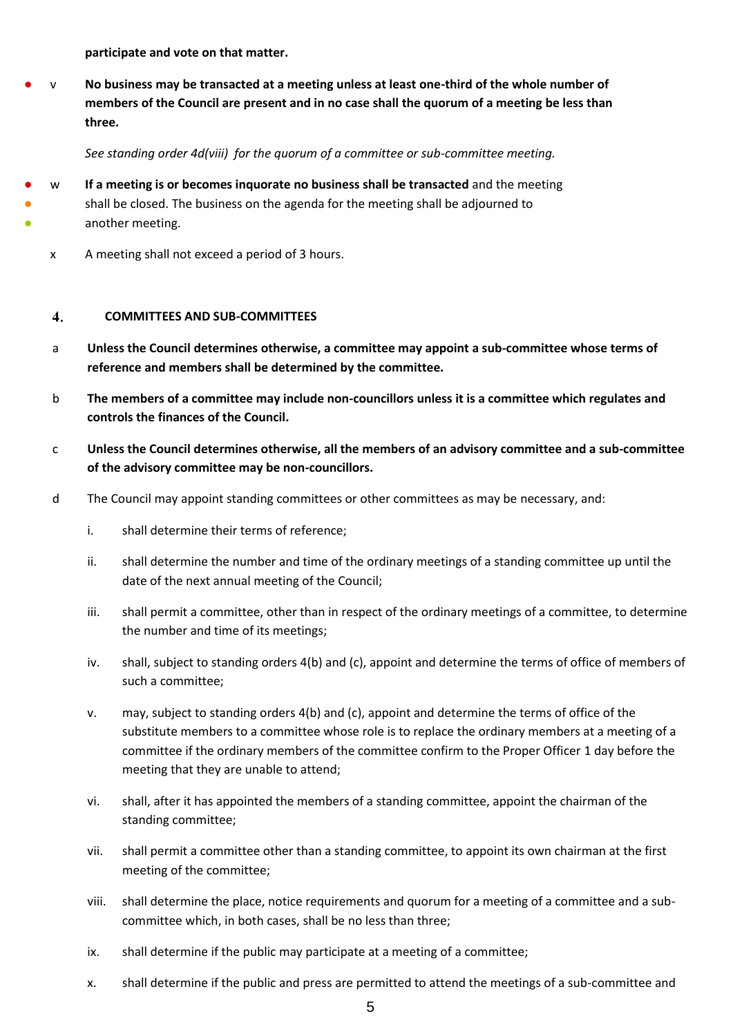**participate and vote on that matter.**

**No business may be transacted at a meeting unless at least one-third of the whole number of members of the Council are present and in no case shall the quorum of a meeting be less than three.**

*See standing order 4d(viii) for the quorum of a committee or sub-committee meeting.* 

- w **If a meeting is or becomes inquorate no business shall be transacted** and the meeting
	- shall be closed. The business on the agenda for the meeting shall be adjourned to another meeting.
		- x A meeting shall not exceed a period of 3 hours.

● ●

#### $\overline{4}$ . **COMMITTEES AND SUB-COMMITTEES**

- a **Unless the Council determines otherwise, a committee may appoint a sub-committee whose terms of reference and members shall be determined by the committee.**
- b **The members of a committee may include non-councillors unless it is a committee which regulates and controls the finances of the Council.**
- c **Unless the Council determines otherwise, all the members of an advisory committee and a sub-committee of the advisory committee may be non-councillors.**
- d The Council may appoint standing committees or other committees as may be necessary, and:
	- i. shall determine their terms of reference;
	- ii. shall determine the number and time of the ordinary meetings of a standing committee up until the date of the next annual meeting of the Council;
	- iii. shall permit a committee, other than in respect of the ordinary meetings of a committee, to determine the number and time of its meetings;
	- iv. shall, subject to standing orders 4(b) and (c), appoint and determine the terms of office of members of such a committee;
	- v. may, subject to standing orders 4(b) and (c), appoint and determine the terms of office of the substitute members to a committee whose role is to replace the ordinary members at a meeting of a committee if the ordinary members of the committee confirm to the Proper Officer 1 day before the meeting that they are unable to attend;
	- vi. shall, after it has appointed the members of a standing committee, appoint the chairman of the standing committee;
	- vii. shall permit a committee other than a standing committee, to appoint its own chairman at the first meeting of the committee;
	- viii. shall determine the place, notice requirements and quorum for a meeting of a committee and a subcommittee which, in both cases, shall be no less than three;
	- ix. shall determine if the public may participate at a meeting of a committee;
	- x. shall determine if the public and press are permitted to attend the meetings of a sub-committee and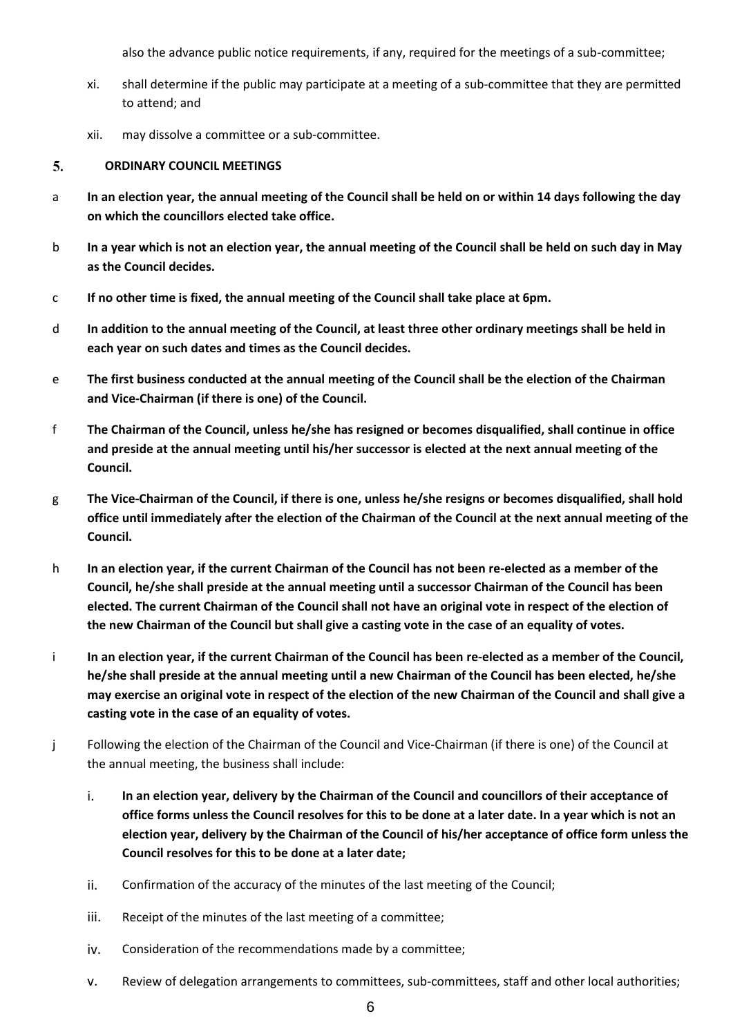also the advance public notice requirements, if any, required for the meetings of a sub-committee;

- xi. shall determine if the public may participate at a meeting of a sub-committee that they are permitted to attend; and
- xii. may dissolve a committee or a sub-committee.

#### 5. **ORDINARY COUNCIL MEETINGS**

- a **In an election year, the annual meeting of the Council shall be held on or within 14 days following the day on which the councillors elected take office.**
- b **In a year which is not an election year, the annual meeting of the Council shall be held on such day in May as the Council decides.**
- c **If no other time is fixed, the annual meeting of the Council shall take place at 6pm.**
- d **In addition to the annual meeting of the Council, at least three other ordinary meetings shall be held in each year on such dates and times as the Council decides.**
- e **The first business conducted at the annual meeting of the Council shall be the election of the Chairman and Vice-Chairman (if there is one) of the Council.**
- f **The Chairman of the Council, unless he/she has resigned or becomes disqualified, shall continue in office and preside at the annual meeting until his/her successor is elected at the next annual meeting of the Council.**
- g **The Vice-Chairman of the Council, if there is one, unless he/she resigns or becomes disqualified, shall hold office until immediately after the election of the Chairman of the Council at the next annual meeting of the Council.**
- h **In an election year, if the current Chairman of the Council has not been re-elected as a member of the Council, he/she shall preside at the annual meeting until a successor Chairman of the Council has been elected. The current Chairman of the Council shall not have an original vote in respect of the election of the new Chairman of the Council but shall give a casting vote in the case of an equality of votes.**
- i **In an election year, if the current Chairman of the Council has been re-elected as a member of the Council, he/she shall preside at the annual meeting until a new Chairman of the Council has been elected, he/she may exercise an original vote in respect of the election of the new Chairman of the Council and shall give a casting vote in the case of an equality of votes.**
- j Following the election of the Chairman of the Council and Vice-Chairman (if there is one) of the Council at the annual meeting, the business shall include:
	- i. **In an election year, delivery by the Chairman of the Council and councillors of their acceptance of office forms unless the Council resolves for this to be done at a later date. In a year which is not an election year, delivery by the Chairman of the Council of his/her acceptance of office form unless the Council resolves for this to be done at a later date;**
	- ii. Confirmation of the accuracy of the minutes of the last meeting of the Council;
	- iii. Receipt of the minutes of the last meeting of a committee;
	- iv. Consideration of the recommendations made by a committee;
	- v. Review of delegation arrangements to committees, sub-committees, staff and other local authorities;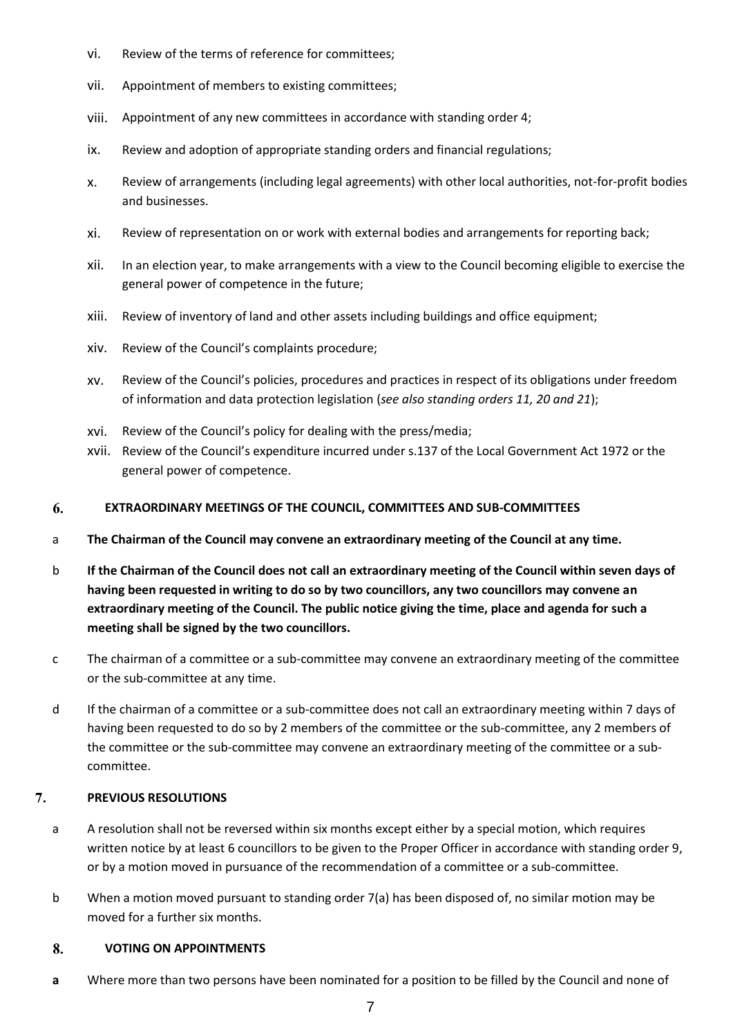- vi. Review of the terms of reference for committees;
- vii. Appointment of members to existing committees;
- viii. Appointment of any new committees in accordance with standing order 4;
- ix. Review and adoption of appropriate standing orders and financial regulations;
- x. Review of arrangements (including legal agreements) with other local authorities, not-for-profit bodies and businesses.
- xi. Review of representation on or work with external bodies and arrangements for reporting back;
- xii. In an election year, to make arrangements with a view to the Council becoming eligible to exercise the general power of competence in the future;
- xiii. Review of inventory of land and other assets including buildings and office equipment;
- xiv. Review of the Council's complaints procedure;
- xv. Review of the Council's policies, procedures and practices in respect of its obligations under freedom of information and data protection legislation (*see also standing orders 11, 20 and 21*);
- xvi. Review of the Council's policy for dealing with the press/media;
- xvii. Review of the Council's expenditure incurred under s.137 of the Local Government Act 1972 or the general power of competence.

#### 6. **EXTRAORDINARY MEETINGS OF THE COUNCIL, COMMITTEES AND SUB-COMMITTEES**

- a **The Chairman of the Council may convene an extraordinary meeting of the Council at any time.**
- b **If the Chairman of the Council does not call an extraordinary meeting of the Council within seven days of having been requested in writing to do so by two councillors, any two councillors may convene an extraordinary meeting of the Council. The public notice giving the time, place and agenda for such a meeting shall be signed by the two councillors.**
- c The chairman of a committee or a sub-committee may convene an extraordinary meeting of the committee or the sub-committee at any time.
- d If the chairman of a committee or a sub-committee does not call an extraordinary meeting within 7 days of having been requested to do so by 2 members of the committee or the sub-committee, any 2 members of the committee or the sub-committee may convene an extraordinary meeting of the committee or a subcommittee.

#### 7. **PREVIOUS RESOLUTIONS**

- a A resolution shall not be reversed within six months except either by a special motion, which requires written notice by at least 6 councillors to be given to the Proper Officer in accordance with standing order 9, or by a motion moved in pursuance of the recommendation of a committee or a sub-committee.
- b When a motion moved pursuant to standing order 7(a) has been disposed of, no similar motion may be moved for a further six months.

#### 8. **VOTING ON APPOINTMENTS**

**a** Where more than two persons have been nominated for a position to be filled by the Council and none of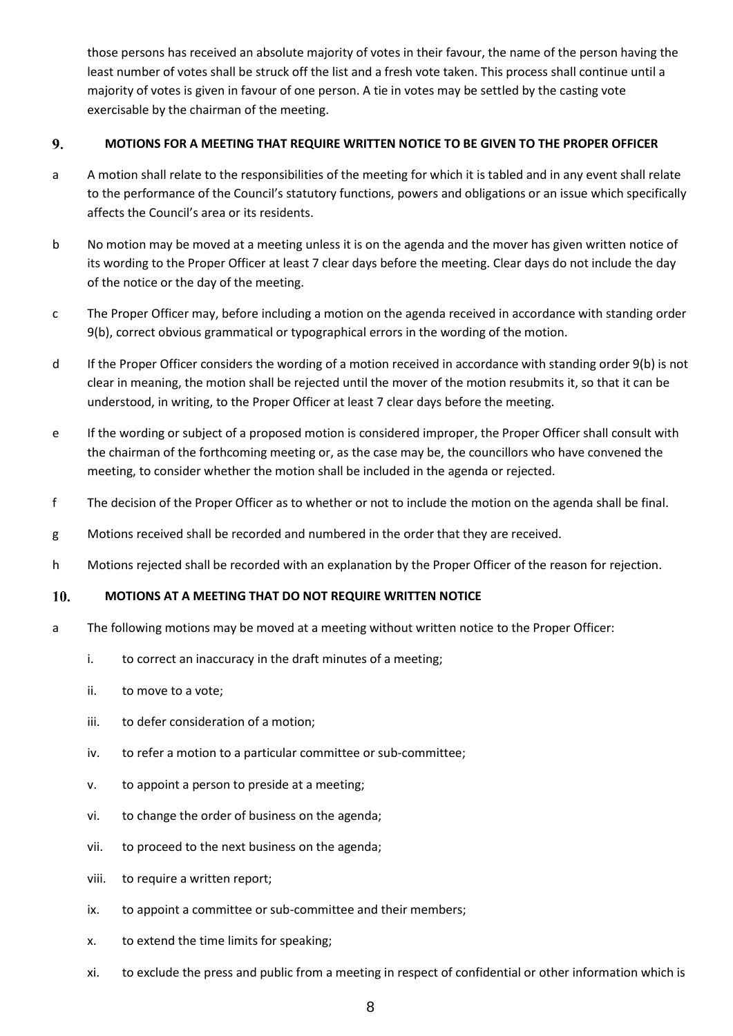those persons has received an absolute majority of votes in their favour, the name of the person having the least number of votes shall be struck off the list and a fresh vote taken. This process shall continue until a majority of votes is given in favour of one person. A tie in votes may be settled by the casting vote exercisable by the chairman of the meeting.

#### 9. **MOTIONS FOR A MEETING THAT REQUIRE WRITTEN NOTICE TO BE GIVEN TO THE PROPER OFFICER**

- a A motion shall relate to the responsibilities of the meeting for which it is tabled and in any event shall relate to the performance of the Council's statutory functions, powers and obligations or an issue which specifically affects the Council's area or its residents.
- b No motion may be moved at a meeting unless it is on the agenda and the mover has given written notice of its wording to the Proper Officer at least 7 clear days before the meeting. Clear days do not include the day of the notice or the day of the meeting.
- c The Proper Officer may, before including a motion on the agenda received in accordance with standing order 9(b), correct obvious grammatical or typographical errors in the wording of the motion.
- d If the Proper Officer considers the wording of a motion received in accordance with standing order 9(b) is not clear in meaning, the motion shall be rejected until the mover of the motion resubmits it, so that it can be understood, in writing, to the Proper Officer at least 7 clear days before the meeting.
- e If the wording or subject of a proposed motion is considered improper, the Proper Officer shall consult with the chairman of the forthcoming meeting or, as the case may be, the councillors who have convened the meeting, to consider whether the motion shall be included in the agenda or rejected.
- f The decision of the Proper Officer as to whether or not to include the motion on the agenda shall be final.
- g Motions received shall be recorded and numbered in the order that they are received.
- h Motions rejected shall be recorded with an explanation by the Proper Officer of the reason for rejection.

#### 10. **MOTIONS AT A MEETING THAT DO NOT REQUIRE WRITTEN NOTICE**

- a The following motions may be moved at a meeting without written notice to the Proper Officer:
	- i. to correct an inaccuracy in the draft minutes of a meeting;
	- ii. to move to a vote;
	- iii. to defer consideration of a motion;
	- iv. to refer a motion to a particular committee or sub-committee;
	- v. to appoint a person to preside at a meeting;
	- vi. to change the order of business on the agenda;
	- vii. to proceed to the next business on the agenda;
	- viii. to require a written report;
	- ix. to appoint a committee or sub-committee and their members;
	- x. to extend the time limits for speaking;
	- xi. to exclude the press and public from a meeting in respect of confidential or other information which is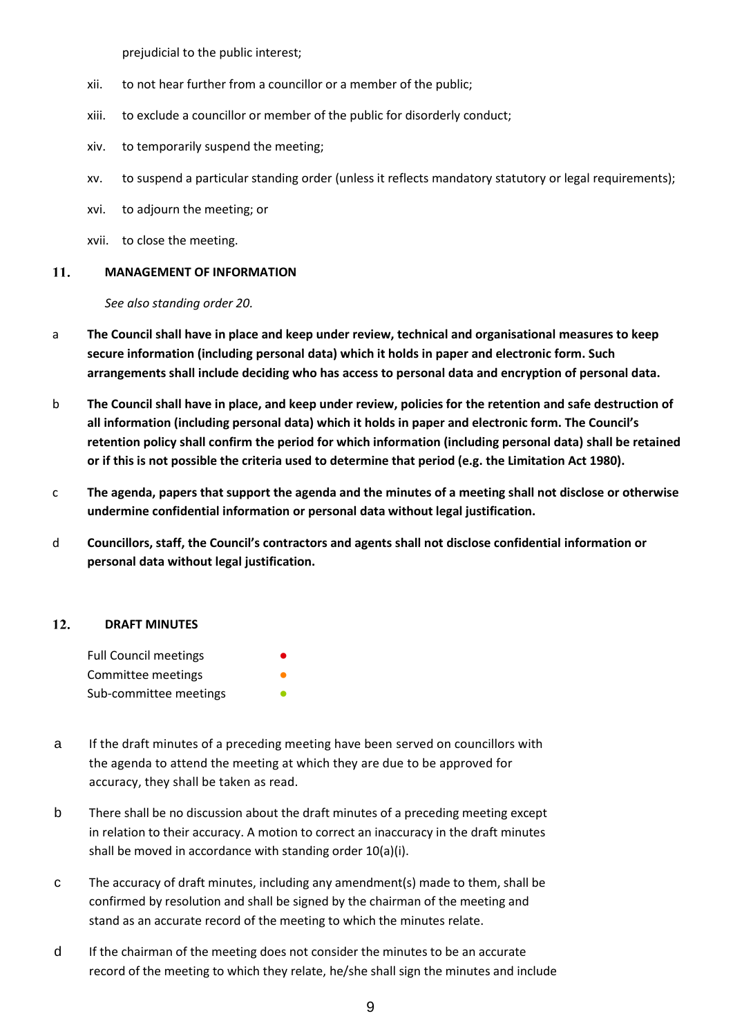prejudicial to the public interest;

- xii. to not hear further from a councillor or a member of the public;
- xiii. to exclude a councillor or member of the public for disorderly conduct;
- xiv. to temporarily suspend the meeting;
- xv. to suspend a particular standing order (unless it reflects mandatory statutory or legal requirements);
- xvi. to adjourn the meeting; or
- xvii. to close the meeting.

#### 11. **MANAGEMENT OF INFORMATION**

*See also standing order 20.*

- a **The Council shall have in place and keep under review, technical and organisational measures to keep secure information (including personal data) which it holds in paper and electronic form. Such arrangements shall include deciding who has access to personal data and encryption of personal data.**
- b **The Council shall have in place, and keep under review, policies for the retention and safe destruction of all information (including personal data) which it holds in paper and electronic form. The Council's retention policy shall confirm the period for which information (including personal data) shall be retained or if this is not possible the criteria used to determine that period (e.g. the Limitation Act 1980).**
- c **The agenda, papers that support the agenda and the minutes of a meeting shall not disclose or otherwise undermine confidential information or personal data without legal justification.**
- d **Councillors, staff, the Council's contractors and agents shall not disclose confidential information or personal data without legal justification.**

#### $12.$ **DRAFT MINUTES**

| <b>Full Council meetings</b> |  |
|------------------------------|--|
| Committee meetings           |  |
| Sub-committee meetings       |  |

- a If the draft minutes of a preceding meeting have been served on councillors with the agenda to attend the meeting at which they are due to be approved for accuracy, they shall be taken as read.
- b There shall be no discussion about the draft minutes of a preceding meeting except in relation to their accuracy. A motion to correct an inaccuracy in the draft minutes shall be moved in accordance with standing order 10(a)(i).
- c The accuracy of draft minutes, including any amendment(s) made to them, shall be confirmed by resolution and shall be signed by the chairman of the meeting and stand as an accurate record of the meeting to which the minutes relate.
- d If the chairman of the meeting does not consider the minutes to be an accurate record of the meeting to which they relate, he/she shall sign the minutes and include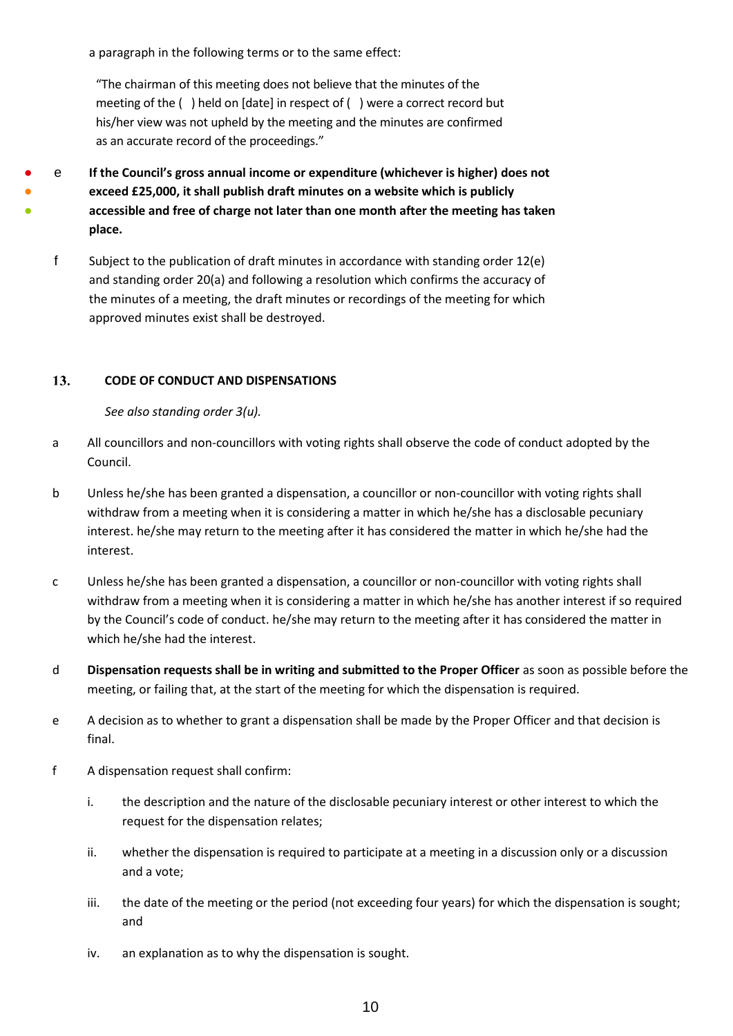a paragraph in the following terms or to the same effect:

"The chairman of this meeting does not believe that the minutes of the meeting of the ( ) held on [date] in respect of ( ) were a correct record but his/her view was not upheld by the meeting and the minutes are confirmed as an accurate record of the proceedings."

● ● ● e **If the Council's gross annual income or expenditure (whichever is higher) does not exceed £25,000, it shall publish draft minutes on a website which is publicly accessible and free of charge not later than one month after the meeting has taken place.**

f Subject to the publication of draft minutes in accordance with standing order 12(e) and standing order 20(a) and following a resolution which confirms the accuracy of the minutes of a meeting, the draft minutes or recordings of the meeting for which approved minutes exist shall be destroyed.

#### 13. **CODE OF CONDUCT AND DISPENSATIONS**

*See also standing order 3(u).*

- a All councillors and non-councillors with voting rights shall observe the code of conduct adopted by the Council.
- b Unless he/she has been granted a dispensation, a councillor or non-councillor with voting rights shall withdraw from a meeting when it is considering a matter in which he/she has a disclosable pecuniary interest. he/she may return to the meeting after it has considered the matter in which he/she had the interest.
- c Unless he/she has been granted a dispensation, a councillor or non-councillor with voting rights shall withdraw from a meeting when it is considering a matter in which he/she has another interest if so required by the Council's code of conduct. he/she may return to the meeting after it has considered the matter in which he/she had the interest.
- d **Dispensation requests shall be in writing and submitted to the Proper Officer** as soon as possible before the meeting, or failing that, at the start of the meeting for which the dispensation is required.
- e A decision as to whether to grant a dispensation shall be made by the Proper Officer and that decision is final.
- f A dispensation request shall confirm:
	- i. the description and the nature of the disclosable pecuniary interest or other interest to which the request for the dispensation relates;
	- ii. whether the dispensation is required to participate at a meeting in a discussion only or a discussion and a vote;
	- iii. the date of the meeting or the period (not exceeding four years) for which the dispensation is sought; and
	- iv. an explanation as to why the dispensation is sought.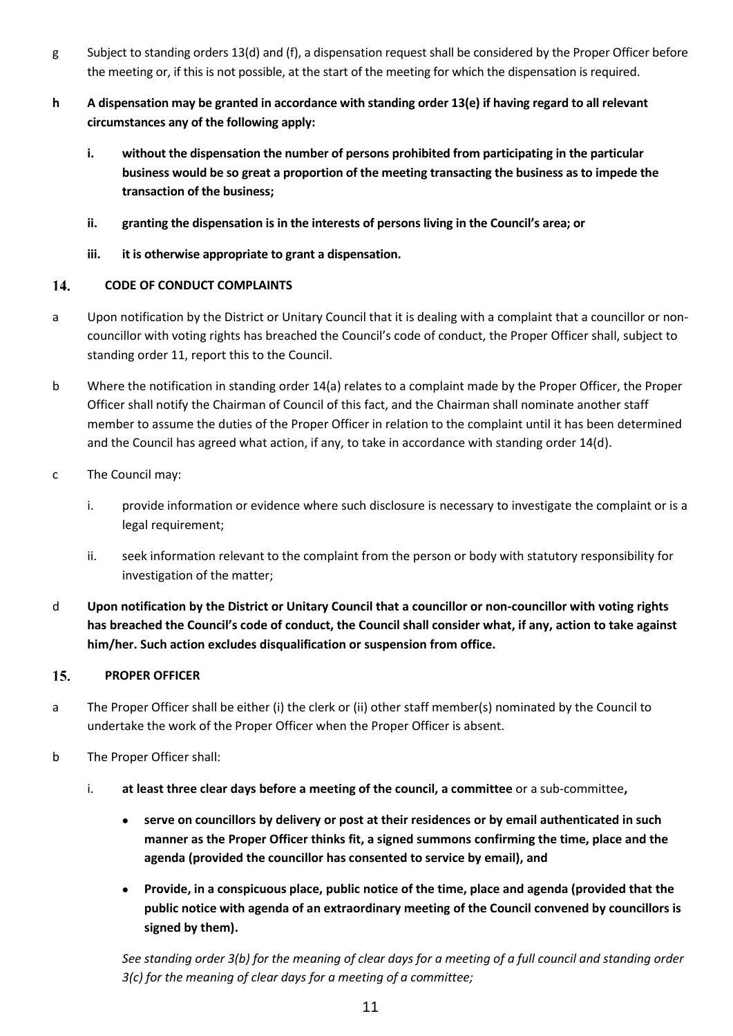- g Subject to standing orders 13(d) and (f), a dispensation request shall be considered by the Proper Officer before the meeting or, if this is not possible, at the start of the meeting for which the dispensation is required.
- **h A dispensation may be granted in accordance with standing order 13(e) if having regard to all relevant circumstances any of the following apply:**
	- **i. without the dispensation the number of persons prohibited from participating in the particular business would be so great a proportion of the meeting transacting the business as to impede the transaction of the business;**
	- **ii. granting the dispensation is in the interests of persons living in the Council's area; or**
	- **iii. it is otherwise appropriate to grant a dispensation.**

#### 14. **CODE OF CONDUCT COMPLAINTS**

- a Upon notification by the District or Unitary Council that it is dealing with a complaint that a councillor or noncouncillor with voting rights has breached the Council's code of conduct, the Proper Officer shall, subject to standing order 11, report this to the Council.
- b Where the notification in standing order 14(a) relates to a complaint made by the Proper Officer, the Proper Officer shall notify the Chairman of Council of this fact, and the Chairman shall nominate another staff member to assume the duties of the Proper Officer in relation to the complaint until it has been determined and the Council has agreed what action, if any, to take in accordance with standing order 14(d).
- c The Council may:
	- i. provide information or evidence where such disclosure is necessary to investigate the complaint or is a legal requirement;
	- ii. seek information relevant to the complaint from the person or body with statutory responsibility for investigation of the matter;
- d **Upon notification by the District or Unitary Council that a councillor or non-councillor with voting rights has breached the Council's code of conduct, the Council shall consider what, if any, action to take against him/her. Such action excludes disqualification or suspension from office.**

#### $15.$ **PROPER OFFICER**

- a The Proper Officer shall be either (i) the clerk or (ii) other staff member(s) nominated by the Council to undertake the work of the Proper Officer when the Proper Officer is absent.
- b The Proper Officer shall:
	- i. **at least three clear days before a meeting of the council, a committee** or a sub-committee**,**
		- **serve on councillors by delivery or post at their residences or by email authenticated in such manner as the Proper Officer thinks fit, a signed summons confirming the time, place and the agenda (provided the councillor has consented to service by email), and**
		- **Provide, in a conspicuous place, public notice of the time, place and agenda (provided that the public notice with agenda of an extraordinary meeting of the Council convened by councillors is signed by them).**

*See standing order 3(b) for the meaning of clear days for a meeting of a full council and standing order 3(c) for the meaning of clear days for a meeting of a committee;*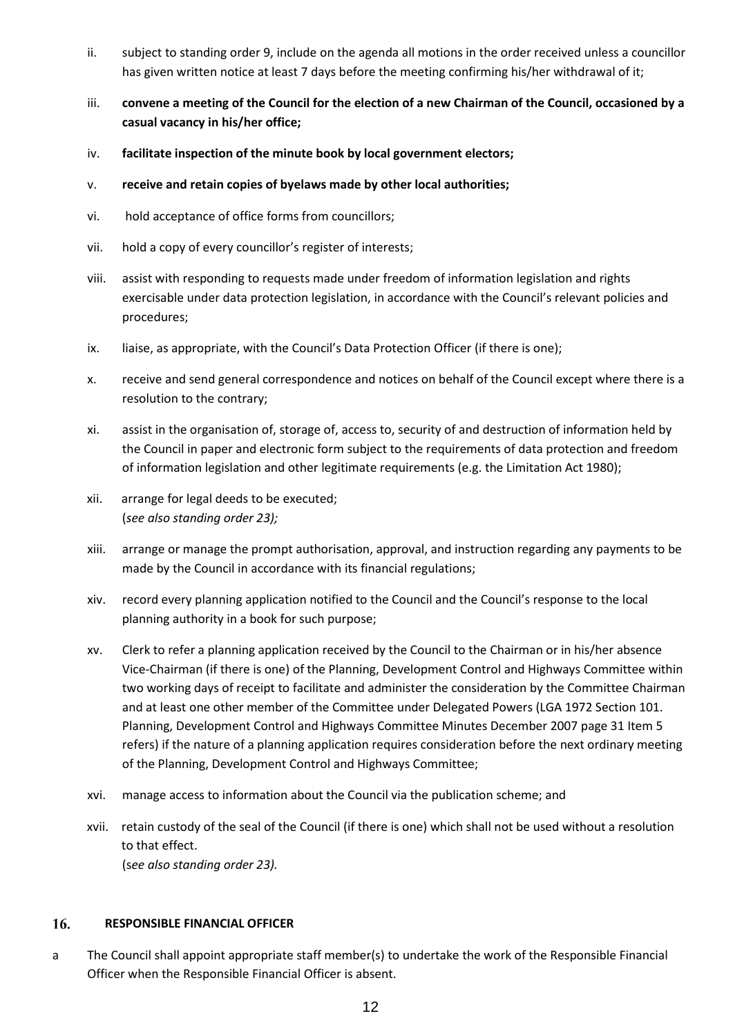- ii. subject to standing order 9, include on the agenda all motions in the order received unless a councillor has given written notice at least 7 days before the meeting confirming his/her withdrawal of it;
- iii. **convene a meeting of the Council for the election of a new Chairman of the Council, occasioned by a casual vacancy in his/her office;**
- iv. **facilitate inspection of the minute book by local government electors;**
- v. **receive and retain copies of byelaws made by other local authorities;**
- vi. hold acceptance of office forms from councillors;
- vii. hold a copy of every councillor's register of interests;
- viii. assist with responding to requests made under freedom of information legislation and rights exercisable under data protection legislation, in accordance with the Council's relevant policies and procedures;
- ix. liaise, as appropriate, with the Council's Data Protection Officer (if there is one);
- x. receive and send general correspondence and notices on behalf of the Council except where there is a resolution to the contrary;
- xi. assist in the organisation of, storage of, access to, security of and destruction of information held by the Council in paper and electronic form subject to the requirements of data protection and freedom of information legislation and other legitimate requirements (e.g. the Limitation Act 1980);
- xii. arrange for legal deeds to be executed; (*see also standing order 23);*
- xiii. arrange or manage the prompt authorisation, approval, and instruction regarding any payments to be made by the Council in accordance with its financial regulations;
- xiv. record every planning application notified to the Council and the Council's response to the local planning authority in a book for such purpose;
- xv. Clerk to refer a planning application received by the Council to the Chairman or in his/her absence Vice-Chairman (if there is one) of the Planning, Development Control and Highways Committee within two working days of receipt to facilitate and administer the consideration by the Committee Chairman and at least one other member of the Committee under Delegated Powers (LGA 1972 Section 101. Planning, Development Control and Highways Committee Minutes December 2007 page 31 Item 5 refers) if the nature of a planning application requires consideration before the next ordinary meeting of the Planning, Development Control and Highways Committee;
- xvi. manage access to information about the Council via the publication scheme; and
- xvii. retain custody of the seal of the Council (if there is one) which shall not be used without a resolution to that effect. (s*ee also standing order 23).*

#### 16. **RESPONSIBLE FINANCIAL OFFICER**

a The Council shall appoint appropriate staff member(s) to undertake the work of the Responsible Financial Officer when the Responsible Financial Officer is absent.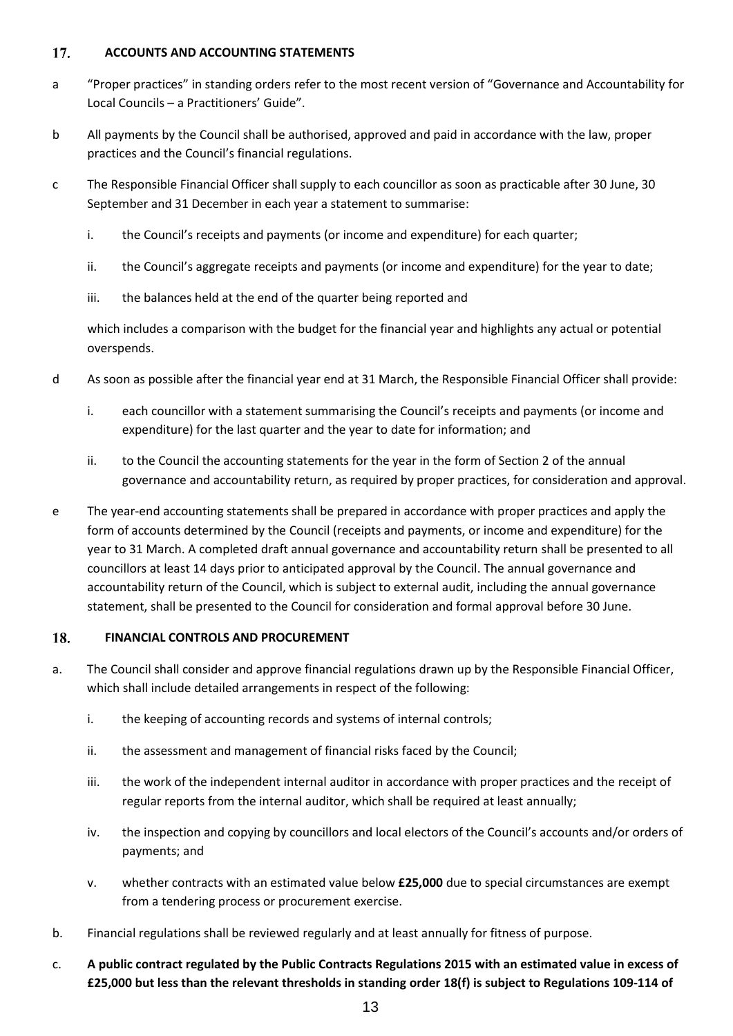#### 17. **ACCOUNTS AND ACCOUNTING STATEMENTS**

- a "Proper practices" in standing orders refer to the most recent version of "Governance and Accountability for Local Councils – a Practitioners' Guide".
- b All payments by the Council shall be authorised, approved and paid in accordance with the law, proper practices and the Council's financial regulations.
- c The Responsible Financial Officer shall supply to each councillor as soon as practicable after 30 June, 30 September and 31 December in each year a statement to summarise:
	- i. the Council's receipts and payments (or income and expenditure) for each quarter;
	- ii. the Council's aggregate receipts and payments (or income and expenditure) for the year to date;
	- iii. the balances held at the end of the quarter being reported and

which includes a comparison with the budget for the financial year and highlights any actual or potential overspends.

- d As soon as possible after the financial year end at 31 March, the Responsible Financial Officer shall provide:
	- i. each councillor with a statement summarising the Council's receipts and payments (or income and expenditure) for the last quarter and the year to date for information; and
	- ii. to the Council the accounting statements for the year in the form of Section 2 of the annual governance and accountability return, as required by proper practices, for consideration and approval.
- e The year-end accounting statements shall be prepared in accordance with proper practices and apply the form of accounts determined by the Council (receipts and payments, or income and expenditure) for the year to 31 March. A completed draft annual governance and accountability return shall be presented to all councillors at least 14 days prior to anticipated approval by the Council. The annual governance and accountability return of the Council, which is subject to external audit, including the annual governance statement, shall be presented to the Council for consideration and formal approval before 30 June.

#### 18. **FINANCIAL CONTROLS AND PROCUREMENT**

- a. The Council shall consider and approve financial regulations drawn up by the Responsible Financial Officer, which shall include detailed arrangements in respect of the following:
	- i. the keeping of accounting records and systems of internal controls;
	- ii. the assessment and management of financial risks faced by the Council;
	- iii. the work of the independent internal auditor in accordance with proper practices and the receipt of regular reports from the internal auditor, which shall be required at least annually;
	- iv. the inspection and copying by councillors and local electors of the Council's accounts and/or orders of payments; and
	- v. whether contracts with an estimated value below **£25,000** due to special circumstances are exempt from a tendering process or procurement exercise.
- b. Financial regulations shall be reviewed regularly and at least annually for fitness of purpose.
- c. **A public contract regulated by the Public Contracts Regulations 2015 with an estimated value in excess of £25,000 but less than the relevant thresholds in standing order 18(f) is subject to Regulations 109-114 of**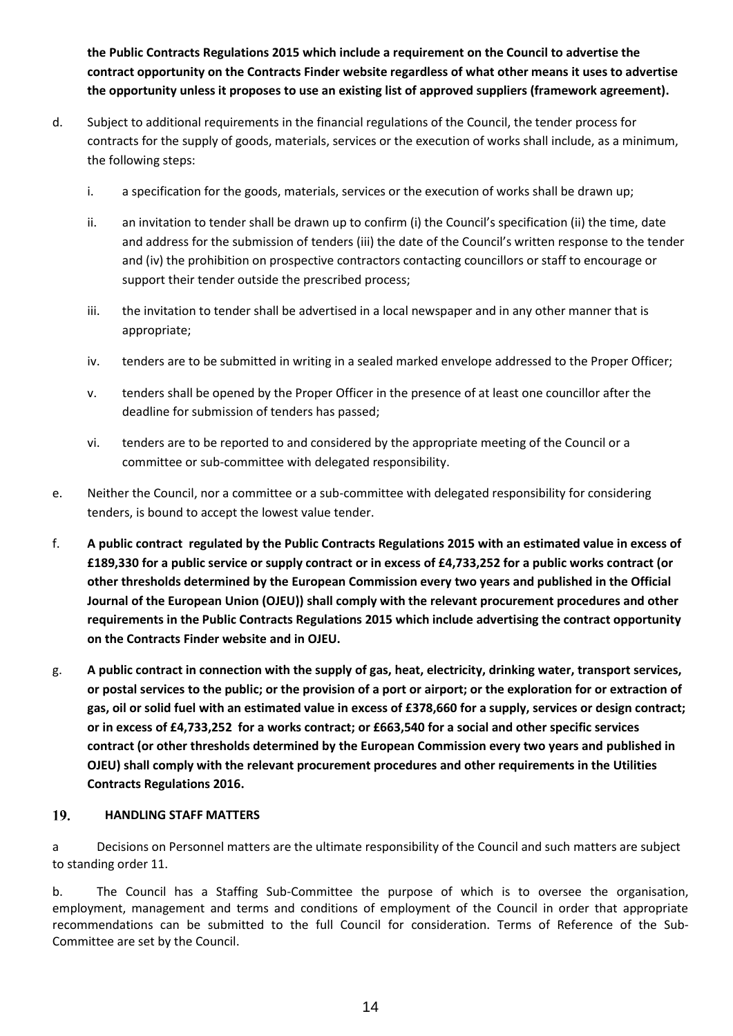**the Public Contracts Regulations 2015 which include a requirement on the Council to advertise the contract opportunity on the Contracts Finder website regardless of what other means it uses to advertise the opportunity unless it proposes to use an existing list of approved suppliers (framework agreement).**

- d. Subject to additional requirements in the financial regulations of the Council, the tender process for contracts for the supply of goods, materials, services or the execution of works shall include, as a minimum, the following steps:
	- i. a specification for the goods, materials, services or the execution of works shall be drawn up;
	- ii. an invitation to tender shall be drawn up to confirm (i) the Council's specification (ii) the time, date and address for the submission of tenders (iii) the date of the Council's written response to the tender and (iv) the prohibition on prospective contractors contacting councillors or staff to encourage or support their tender outside the prescribed process;
	- iii. the invitation to tender shall be advertised in a local newspaper and in any other manner that is appropriate;
	- iv. tenders are to be submitted in writing in a sealed marked envelope addressed to the Proper Officer;
	- v. tenders shall be opened by the Proper Officer in the presence of at least one councillor after the deadline for submission of tenders has passed;
	- vi. tenders are to be reported to and considered by the appropriate meeting of the Council or a committee or sub-committee with delegated responsibility.
- e. Neither the Council, nor a committee or a sub-committee with delegated responsibility for considering tenders, is bound to accept the lowest value tender.
- f. **A public contract regulated by the Public Contracts Regulations 2015 with an estimated value in excess of £189,330 for a public service or supply contract or in excess of £4,733,252 for a public works contract (or other thresholds determined by the European Commission every two years and published in the Official Journal of the European Union (OJEU)) shall comply with the relevant procurement procedures and other requirements in the Public Contracts Regulations 2015 which include advertising the contract opportunity on the Contracts Finder website and in OJEU.**
- g. **A public contract in connection with the supply of gas, heat, electricity, drinking water, transport services, or postal services to the public; or the provision of a port or airport; or the exploration for or extraction of gas, oil or solid fuel with an estimated value in excess of £378,660 for a supply, services or design contract; or in excess of £4,733,252 for a works contract; or £663,540 for a social and other specific services contract (or other thresholds determined by the European Commission every two years and published in OJEU) shall comply with the relevant procurement procedures and other requirements in the Utilities Contracts Regulations 2016.**

#### 19. **HANDLING STAFF MATTERS**

a Decisions on Personnel matters are the ultimate responsibility of the Council and such matters are subject to standing order 11.

b. The Council has a Staffing Sub-Committee the purpose of which is to oversee the organisation, employment, management and terms and conditions of employment of the Council in order that appropriate recommendations can be submitted to the full Council for consideration. Terms of Reference of the Sub-Committee are set by the Council.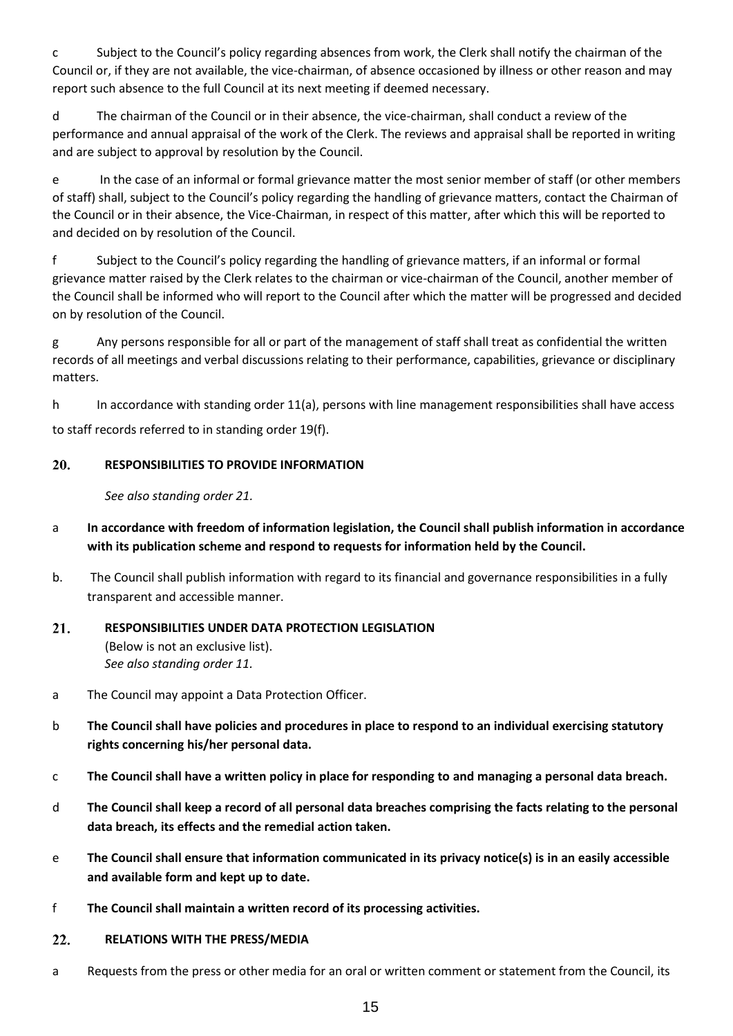c Subject to the Council's policy regarding absences from work, the Clerk shall notify the chairman of the Council or, if they are not available, the vice-chairman, of absence occasioned by illness or other reason and may report such absence to the full Council at its next meeting if deemed necessary.

d The chairman of the Council or in their absence, the vice-chairman, shall conduct a review of the performance and annual appraisal of the work of the Clerk. The reviews and appraisal shall be reported in writing and are subject to approval by resolution by the Council.

e In the case of an informal or formal grievance matter the most senior member of staff (or other members of staff) shall, subject to the Council's policy regarding the handling of grievance matters, contact the Chairman of the Council or in their absence, the Vice-Chairman, in respect of this matter, after which this will be reported to and decided on by resolution of the Council.

f Subject to the Council's policy regarding the handling of grievance matters, if an informal or formal grievance matter raised by the Clerk relates to the chairman or vice-chairman of the Council, another member of the Council shall be informed who will report to the Council after which the matter will be progressed and decided on by resolution of the Council.

g Any persons responsible for all or part of the management of staff shall treat as confidential the written records of all meetings and verbal discussions relating to their performance, capabilities, grievance or disciplinary matters.

h In accordance with standing order 11(a), persons with line management responsibilities shall have access to staff records referred to in standing order 19(f).

#### 20. **RESPONSIBILITIES TO PROVIDE INFORMATION**

*See also standing order 21.*

- a **In accordance with freedom of information legislation, the Council shall publish information in accordance with its publication scheme and respond to requests for information held by the Council.**
- b. The Council shall publish information with regard to its financial and governance responsibilities in a fully transparent and accessible manner.
- $21.$ **RESPONSIBILITIES UNDER DATA PROTECTION LEGISLATION**  (Below is not an exclusive list). *See also standing order 11.*
- a The Council may appoint a Data Protection Officer.
- b **The Council shall have policies and procedures in place to respond to an individual exercising statutory rights concerning his/her personal data.**
- c **The Council shall have a written policy in place for responding to and managing a personal data breach.**
- d **The Council shall keep a record of all personal data breaches comprising the facts relating to the personal data breach, its effects and the remedial action taken.**
- e **The Council shall ensure that information communicated in its privacy notice(s) is in an easily accessible and available form and kept up to date.**
- f **The Council shall maintain a written record of its processing activities.**

#### $22.$ **RELATIONS WITH THE PRESS/MEDIA**

a Requests from the press or other media for an oral or written comment or statement from the Council, its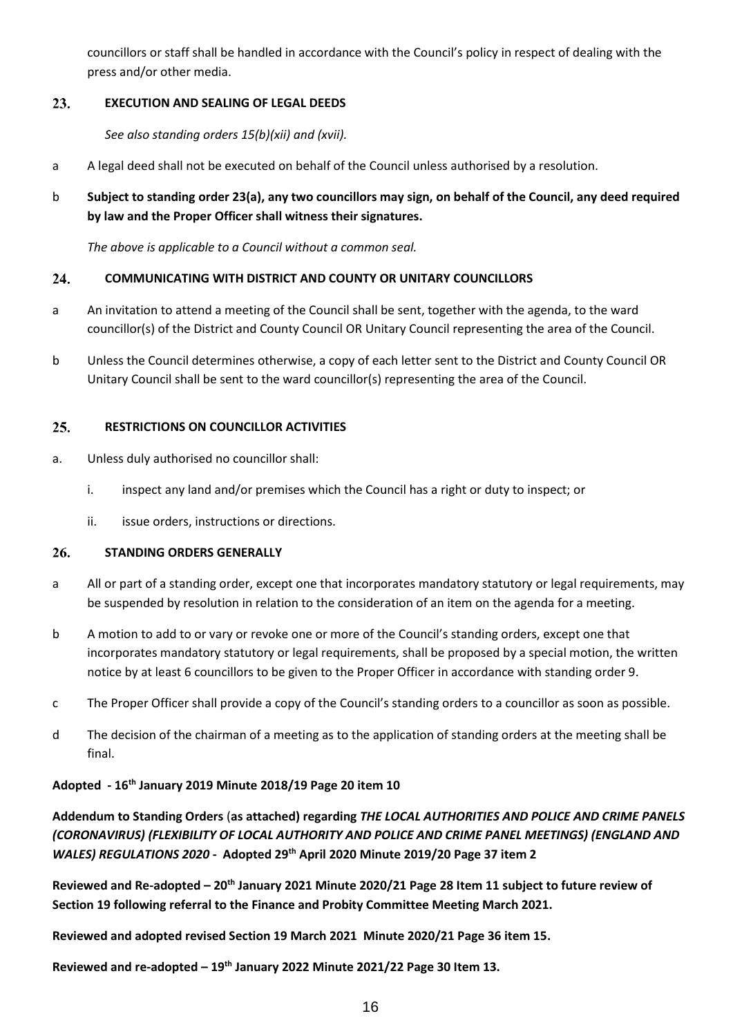councillors or staff shall be handled in accordance with the Council's policy in respect of dealing with the press and/or other media.

#### 23. **EXECUTION AND SEALING OF LEGAL DEEDS**

*See also standing orders 15(b)(xii) and (xvii).*

- a A legal deed shall not be executed on behalf of the Council unless authorised by a resolution.
- b **Subject to standing order 23(a), any two councillors may sign, on behalf of the Council, any deed required by law and the Proper Officer shall witness their signatures.**

*The above is applicable to a Council without a common seal.*

#### 24. **COMMUNICATING WITH DISTRICT AND COUNTY OR UNITARY COUNCILLORS**

- a An invitation to attend a meeting of the Council shall be sent, together with the agenda, to the ward councillor(s) of the District and County Council OR Unitary Council representing the area of the Council.
- b Unless the Council determines otherwise, a copy of each letter sent to the District and County Council OR Unitary Council shall be sent to the ward councillor(s) representing the area of the Council.

#### $25.$ **RESTRICTIONS ON COUNCILLOR ACTIVITIES**

- a. Unless duly authorised no councillor shall:
	- i. inspect any land and/or premises which the Council has a right or duty to inspect; or
	- ii. issue orders, instructions or directions.

#### 26. **STANDING ORDERS GENERALLY**

- a All or part of a standing order, except one that incorporates mandatory statutory or legal requirements, may be suspended by resolution in relation to the consideration of an item on the agenda for a meeting.
- b A motion to add to or vary or revoke one or more of the Council's standing orders, except one that incorporates mandatory statutory or legal requirements, shall be proposed by a special motion, the written notice by at least 6 councillors to be given to the Proper Officer in accordance with standing order 9.
- c The Proper Officer shall provide a copy of the Council's standing orders to a councillor as soon as possible.
- d The decision of the chairman of a meeting as to the application of standing orders at the meeting shall be final.

### **Adopted - 16th January 2019 Minute 2018/19 Page 20 item 10**

**Addendum to Standing Orders** (**as attached) regarding** *THE LOCAL AUTHORITIES AND POLICE AND CRIME PANELS (CORONAVIRUS) (FLEXIBILITY OF LOCAL AUTHORITY AND POLICE AND CRIME PANEL MEETINGS) (ENGLAND AND WALES) REGULATIONS 2020* **- Adopted 29th April 2020 Minute 2019/20 Page 37 item 2**

**Reviewed and Re-adopted – 20th January 2021 Minute 2020/21 Page 28 Item 11 subject to future review of Section 19 following referral to the Finance and Probity Committee Meeting March 2021.**

**Reviewed and adopted revised Section 19 March 2021 Minute 2020/21 Page 36 item 15.**

**Reviewed and re-adopted – 19th January 2022 Minute 2021/22 Page 30 Item 13.**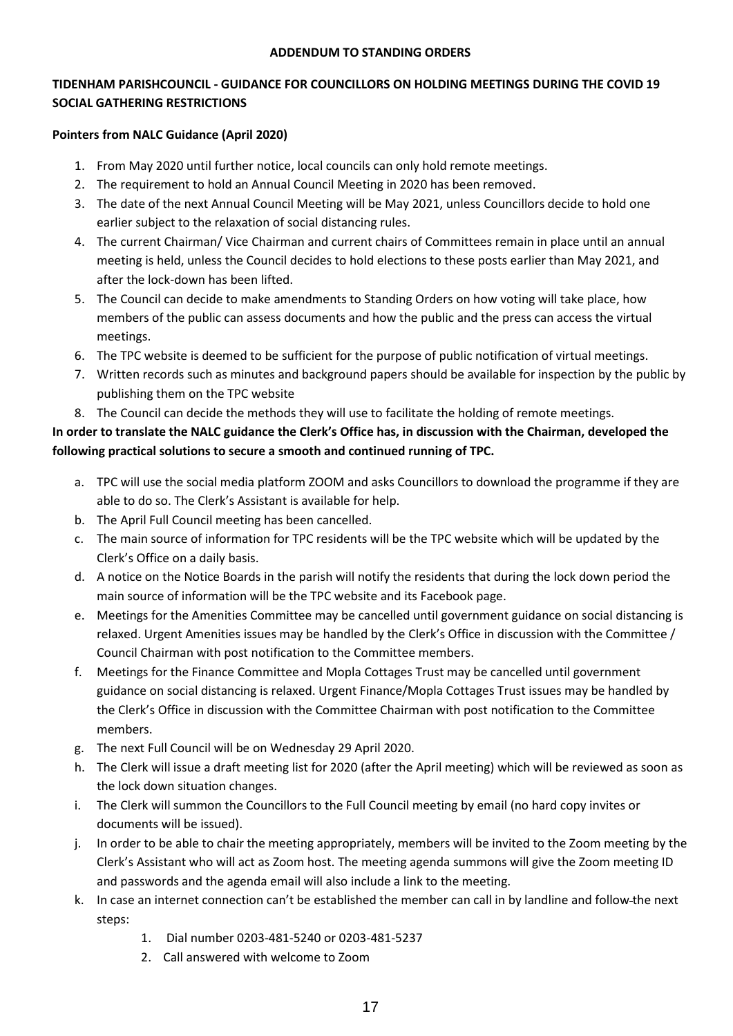### **ADDENDUM TO STANDING ORDERS**

## **TIDENHAM PARISHCOUNCIL - GUIDANCE FOR COUNCILLORS ON HOLDING MEETINGS DURING THE COVID 19 SOCIAL GATHERING RESTRICTIONS**

### **Pointers from NALC Guidance (April 2020)**

- 1. From May 2020 until further notice, local councils can only hold remote meetings.
- 2. The requirement to hold an Annual Council Meeting in 2020 has been removed.
- 3. The date of the next Annual Council Meeting will be May 2021, unless Councillors decide to hold one earlier subject to the relaxation of social distancing rules.
- 4. The current Chairman/ Vice Chairman and current chairs of Committees remain in place until an annual meeting is held, unless the Council decides to hold elections to these posts earlier than May 2021, and after the lock-down has been lifted.
- 5. The Council can decide to make amendments to Standing Orders on how voting will take place, how members of the public can assess documents and how the public and the press can access the virtual meetings.
- 6. The TPC website is deemed to be sufficient for the purpose of public notification of virtual meetings.
- 7. Written records such as minutes and background papers should be available for inspection by the public by publishing them on the TPC website
- 8. The Council can decide the methods they will use to facilitate the holding of remote meetings.

# **In order to translate the NALC guidance the Clerk's Office has, in discussion with the Chairman, developed the following practical solutions to secure a smooth and continued running of TPC.**

- a. TPC will use the social media platform ZOOM and asks Councillors to download the programme if they are able to do so. The Clerk's Assistant is available for help.
- b. The April Full Council meeting has been cancelled.
- c. The main source of information for TPC residents will be the TPC website which will be updated by the Clerk's Office on a daily basis.
- d. A notice on the Notice Boards in the parish will notify the residents that during the lock down period the main source of information will be the TPC website and its Facebook page.
- e. Meetings for the Amenities Committee may be cancelled until government guidance on social distancing is relaxed. Urgent Amenities issues may be handled by the Clerk's Office in discussion with the Committee / Council Chairman with post notification to the Committee members.
- f. Meetings for the Finance Committee and Mopla Cottages Trust may be cancelled until government guidance on social distancing is relaxed. Urgent Finance/Mopla Cottages Trust issues may be handled by the Clerk's Office in discussion with the Committee Chairman with post notification to the Committee members.
- g. The next Full Council will be on Wednesday 29 April 2020.
- h. The Clerk will issue a draft meeting list for 2020 (after the April meeting) which will be reviewed as soon as the lock down situation changes.
- i. The Clerk will summon the Councillors to the Full Council meeting by email (no hard copy invites or documents will be issued).
- j. In order to be able to chair the meeting appropriately, members will be invited to the Zoom meeting by the Clerk's Assistant who will act as Zoom host. The meeting agenda summons will give the Zoom meeting ID and passwords and the agenda email will also include a link to the meeting.
- k. In case an internet connection can't be established the member can call in by landline and follow the next steps:
	- 1. Dial number 0203-481-5240 or 0203-481-5237
	- 2. Call answered with welcome to Zoom